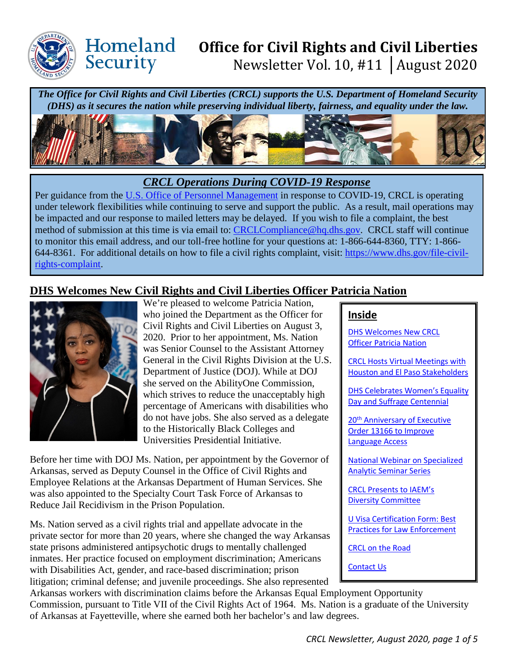

Homeland

Security

# **Office for Civil Rights and Civil Liberties**  Newsletter Vol. 10, #11 │August 2020

*The Office for Civil Rights and Civil Liberties (CRCL) supports the U.S. Department of Homeland Security (DHS) as it secures the nation while preserving individual liberty, fairness, and equality under the law.* 



# *CRCL Operations During COVID-19 Response*

Per guidance from the [U.S. Office of Personnel Management](https://www.opm.gov/policy-data-oversight/covid-19/) in response to COVID-19, CRCL is operating under telework flexibilities while continuing to serve and support the public. As a result, mail operations may be impacted and our response to mailed letters may be delayed. If you wish to file a complaint, the best method of submission at this time is via email to: [CRCLCompliance@hq.dhs.gov.](mailto:CRCLCompliance@hq.dhs.gov) CRCL staff will continue to monitor this email address, and our toll-free hotline for your questions at: 1-866-644-8360, TTY: 1-866- 644-8361. For additional details on how to file a civil rights complaint, visit: [https://www.dhs.gov/file-civil](https://www.dhs.gov/file-civil-rights-complaint)[rights-complaint.](https://www.dhs.gov/file-civil-rights-complaint)

# <span id="page-0-0"></span>**DHS Welcomes New Civil Rights and Civil Liberties Officer Patricia Nation**



We're pleased to welcome Patricia Nation, who joined the Department as the Officer for Civil Rights and Civil Liberties on August 3, 2020. Prior to her appointment, Ms. Nation was Senior Counsel to the Assistant Attorney General in the Civil Rights Division at the U.S. Department of Justice (DOJ). While at DOJ she served on the AbilityOne Commission, which strives to reduce the unacceptably high percentage of Americans with disabilities who do not have jobs. She also served as a delegate to the Historically Black Colleges and Universities Presidential Initiative.

Before her time with DOJ Ms. Nation, per appointment by the Governor of Arkansas, served as Deputy Counsel in the Office of Civil Rights and Employee Relations at the Arkansas Department of Human Services. She was also appointed to the Specialty Court Task Force of Arkansas to Reduce Jail Recidivism in the Prison Population.

Ms. Nation served as a civil rights trial and appellate advocate in the private sector for more than 20 years, where she changed the way Arkansas state prisons administered antipsychotic drugs to mentally challenged inmates. Her practice focused on employment discrimination; Americans with Disabilities Act, gender, and race-based discrimination; prison litigation; criminal defense; and juvenile proceedings. She also represented

#### **Inside**

DHS [Welcomes New CRCL](#page-0-0)  **Officer Patricia Nation** 

[CRCL Hosts Virtual Meetings with](#page-1-0)  [Houston and El Paso](#page-1-0) Stakeholders

[DHS Celebrates Women's Equality](#page-2-0)  [Day and Suffrage Centennial](#page-2-0) 

20<sup>th</sup> Anniversary of Executive [Order 13166 to Improve](#page-2-1)  [Language Access](#page-2-1)

[National Webinar on](#page-2-1) Specialized [Analytic Seminar Series](#page-2-1) 

[CRCL Presents to IAEM's](#page-2-1)  [Diversity Committee](#page-2-1)

[U Visa Certification Form: Best](#page-2-1)  [Practices for Law Enforcement](#page-2-1) 

CRCL on the Road

[Contact Us](#page-4-0)

Arkansas workers with discrimination claims before the Arkansas Equal Employment Opportunity Commission, pursuant to Title VII of the Civil Rights Act of 1964. Ms. Nation is a graduate of the University of Arkansas at Fayetteville, where she earned both her bachelor's and law degrees.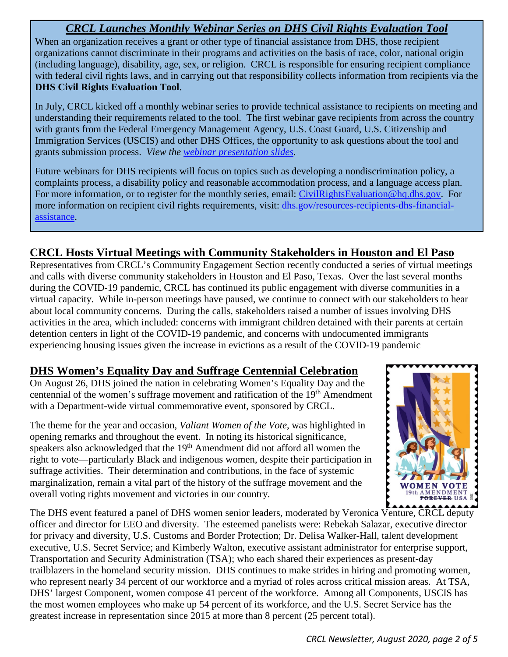# *CRCL Launches Monthly Webinar Series on DHS Civil Rights Evaluation Tool*

When an organization receives a grant or other type of financial assistance from DHS, those recipient organizations cannot discriminate in their programs and activities on the basis of race, color, national origin (including language), disability, age, sex, or religion. CRCL is responsible for ensuring recipient compliance with federal civil rights laws, and in carrying out that responsibility collects information from recipients via the **DHS Civil Rights Evaluation Tool**.

In July, CRCL kicked off a monthly webinar series to provide technical assistance to recipients on meeting and understanding their requirements related to the tool. The first webinar gave recipients from across the country with grants from the Federal Emergency Management Agency, U.S. Coast Guard, U.S. Citizenship and Immigration Services (USCIS) and other DHS Offices, the opportunity to ask questions about the tool and grants submission process. *View the [webinar presentation slides.](https://www.dhs.gov/sites/default/files/publications/overview-dhs-civil-rights-evaluation-tool.pdf)*

Future webinars for DHS recipients will focus on topics such as developing a nondiscrimination policy, a complaints process, a disability policy and reasonable accommodation process, and a language access plan. For more information, or to register for the monthly series, email: [CivilRightsEvaluation@hq.dhs.gov.](mailto:CivilRightsEvaluation@hq.dhs.gov) For more information on recipient civil rights requirements, visit: [dhs.gov/resources-recipients-dhs-financial](https://www.dhs.gov/resources-recipients-dhs-financial-assistance)[assistance.](https://www.dhs.gov/resources-recipients-dhs-financial-assistance)

# <span id="page-1-0"></span>**CRCL Hosts Virtual Meetings with Community Stakeholders in Houston and El Paso**

Representatives from CRCL's Community Engagement Section recently conducted a series of virtual meetings and calls with diverse community stakeholders in Houston and El Paso, Texas. Over the last several months during the COVID-19 pandemic, CRCL has continued its public engagement with diverse communities in a virtual capacity. While in-person meetings have paused, we continue to connect with our stakeholders to hear about local community concerns. During the calls, stakeholders raised a number of issues involving DHS activities in the area, which included: concerns with immigrant children detained with their parents at certain detention centers in light of the COVID-19 pandemic, and concerns with undocumented immigrants experiencing housing issues given the increase in evictions as a result of the COVID-19 pandemic

# **DHS Women's Equality Day and Suffrage Centennial Celebration**

On August 26, DHS joined the nation in celebrating Women's Equality Day and the centennial of the women's suffrage movement and ratification of the 19<sup>th</sup> Amendment with a Department-wide virtual commemorative event, sponsored by CRCL.

The theme for the year and occasion, *Valiant Women of the Vote*, was highlighted in opening remarks and throughout the event. In noting its historical significance, speakers also acknowledged that the 19<sup>th</sup> Amendment did not afford all women the right to vote—particularly Black and indigenous women, despite their participation in suffrage activities. Their determination and contributions, in the face of systemic marginalization, remain a vital part of the history of the suffrage movement and the overall voting rights movement and victories in our country.



The DHS event featured a panel of DHS women senior leaders, moderated by Veronica Venture, CRCL deputy officer and director for EEO and diversity. The esteemed panelists were: Rebekah Salazar, executive director for privacy and diversity, U.S. Customs and Border Protection; Dr. Delisa Walker-Hall, talent development executive, U.S. Secret Service; and Kimberly Walton, executive assistant administrator for enterprise support, Transportation and Security Administration (TSA); who each shared their experiences as present-day trailblazers in the homeland security mission. DHS continues to make strides in hiring and promoting women, who represent nearly 34 percent of our workforce and a myriad of roles across critical mission areas. At TSA, DHS' largest Component, women compose 41 percent of the workforce. Among all Components, USCIS has the most women employees who make up 54 percent of its workforce, and the U.S. Secret Service has the greatest increase in representation since 2015 at more than 8 percent (25 percent total).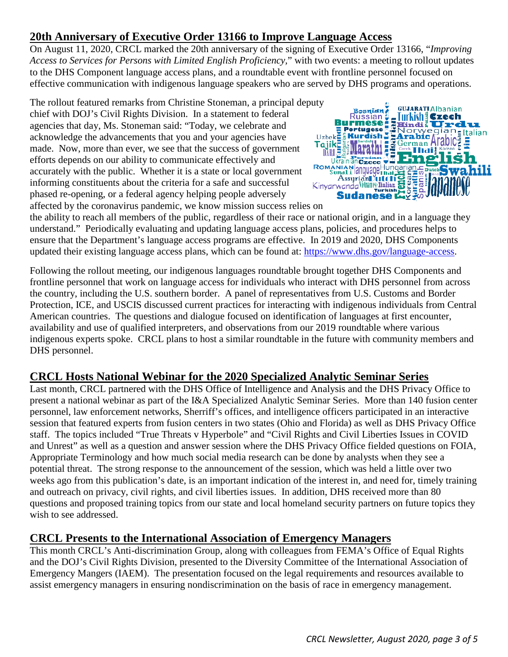# **20th Anniversary of Executive Order 13166 to Improve Language Access**

On August 11, 2020, CRCL marked the 20th anniversary of the signing of Executive Order 13166, "*Improving Access to Services for Persons with Limited English Proficiency,*" with two events: a meeting to rollout updates to the DHS Component language access plans, and a roundtable event with frontline personnel focused on

effective communication with indigenous language speakers who are served by DHS programs and operations.<br>
The rollout featured remarks from Christine Stoneman, a principal deputy<br>
chief with DOJ's Civil Rights Division. In The rollout featured remarks from Christine Stoneman, a principal deputy chief with DOJ's Civil Rights Division. In a statement to federal agencies that day, Ms. Stoneman said: "Today, we celebrate and acknowledge the advancements that you and your agencies have made. Now, more than ever, we see that the success of government efforts depends on our ability to communicate effectively and accurately with the public. Whether it is a state or local government informing constituents about the criteria for a safe and successful phased re-opening, or a federal agency helping people adversely affected by the coronavirus pandemic, we know mission success relies on



the ability to reach all members of the public, regardless of their race or national origin, and in a language they understand." Periodically evaluating and updating language access plans, policies, and procedures helps to ensure that the Department's language access programs are effective. In 2019 and 2020, DHS Components updated their existing language access plans, which can be found at: [https://www.dhs.gov/language-access.](https://www.dhs.gov/language-access)

Following the rollout meeting, our indigenous languages roundtable brought together DHS Components and frontline personnel that work on language access for individuals who interact with DHS personnel from across the country, including the U.S. southern border. A panel of representatives from U.S. Customs and Border Protection, ICE, and USCIS discussed current practices for interacting with indigenous individuals from Central American countries. The questions and dialogue focused on identification of languages at first encounter, availability and use of qualified interpreters, and observations from our 2019 roundtable where various indigenous experts spoke. CRCL plans to host a similar roundtable in the future with community members and DHS personnel.

### <span id="page-2-0"></span>**CRCL Hosts National Webinar for the 2020 Specialized Analytic Seminar Series**

Last month, CRCL partnered with the DHS Office of Intelligence and Analysis and the DHS Privacy Office to present a national webinar as part of the I&A Specialized Analytic Seminar Series. More than 140 fusion center personnel, law enforcement networks, Sherriff's offices, and intelligence officers participated in an interactive session that featured experts from fusion centers in two states (Ohio and Florida) as well as DHS Privacy Office staff. The topics included "True Threats v Hyperbole" and "Civil Rights and Civil Liberties Issues in COVID and Unrest" as well as a question and answer session where the DHS Privacy Office fielded questions on FOIA, Appropriate Terminology and how much social media research can be done by analysts when they see a potential threat. The strong response to the announcement of the session, which was held a little over two weeks ago from this publication's date, is an important indication of the interest in, and need for, timely training and outreach on privacy, civil rights, and civil liberties issues. In addition, DHS received more than 80 questions and proposed training topics from our state and local homeland security partners on future topics they wish to see addressed.

### <span id="page-2-1"></span>**CRCL Presents to the International Association of Emergency Managers**

This month CRCL's Anti-discrimination Group, along with colleagues from FEMA's Office of Equal Rights and the DOJ's Civil Rights Division, presented to the Diversity Committee of the International Association of Emergency Mangers (IAEM). The presentation focused on the legal requirements and resources available to assist emergency managers in ensuring nondiscrimination on the basis of race in emergency management.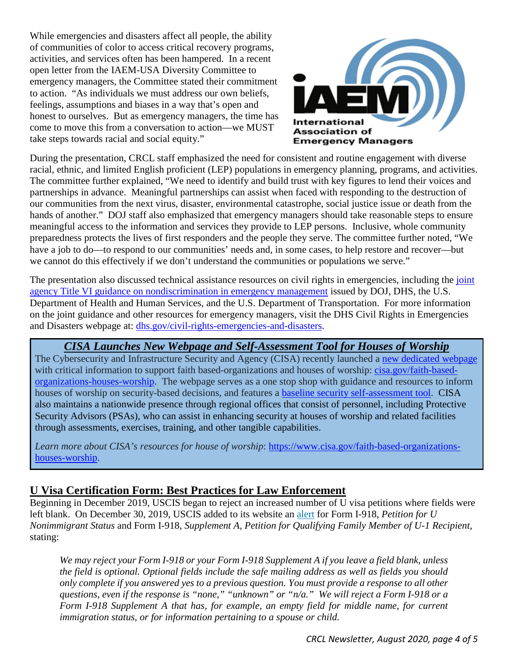While emergencies and disasters affect all people, the ability of communities of color to access critical recovery programs, activities, and services often has been hampered. In a recent open letter from the IAEM-USA Diversity Committee to emergency managers, the Committee stated their commitment to action. "As individuals we must address our own beliefs, feelings, assumptions and biases in a way that's open and honest to ourselves. But as emergency managers, the time has come to move this from a conversation to action—we MUST take steps towards racial and social equity."



During the presentation, CRCL staff emphasized the need for consistent and routine engagement with diverse racial, ethnic, and limited English proficient (LEP) populations in emergency planning, programs, and activities. The committee further explained, "We need to identify and build trust with key figures to lend their voices and partnerships in advance. Meaningful partnerships can assist when faced with responding to the destruction of our communities from the next virus, disaster, environmental catastrophe, social justice issue or death from the hands of another." DOJ staff also emphasized that emergency managers should take reasonable steps to ensure meaningful access to the information and services they provide to LEP persons. Inclusive, whole community preparedness protects the lives of first responders and the people they serve. The committee further noted, "We have a job to do—to respond to our communities' needs and, in some cases, to help restore and recover—but we cannot do this effectively if we don't understand the communities or populations we serve."

The presentation also discussed technical assistance resources on civil rights in emergencies, including the joint [agency Title VI guidance on nondiscrimination in emergency management](https://www.justice.gov/crt/file/885401/download) issued by DOJ, DHS, the U.S. Department of Health and Human Services, and the U.S. Department of Transportation. For more information on the joint guidance and other resources for emergency managers, visit the DHS Civil Rights in Emergencies and Disasters webpage at: [dhs.gov/civil-rights-emergencies-and-disasters.](https://www.dhs.gov/civil-rights-emergencies-and-disasters)

### *CISA Launches New Webpage and Self-Assessment Tool for Houses of Worship*

The Cybersecurity and Infrastructure Security and Agency (CISA) recently launched a [new dedicated webpage](https://www.cisa.gov/faith-based-organizations-houses-worship) with critical information to support faith based-organizations and houses of worship: [cisa.gov/faith-based](https://www.cisa.gov/faith-based-organizations-houses-worship)[organizations-houses-worship.](https://www.cisa.gov/faith-based-organizations-houses-worship) The webpage serves as a one stop shop with guidance and resources to inform houses of worship on security-based decisions, and features a [baseline security self-assessment tool.](https://www.cisa.gov/publication/houses-worship-security-self-assessment) CISA also maintains a nationwide presence through regional offices that consist of personnel, including Protective Security Advisors (PSAs), who can assist in enhancing security at houses of worship and related facilities through assessments, exercises, training, and other tangible capabilities.

Learn more about CISA's resources for house of worship: [https://www.cisa.gov/faith-based-organizations](https://www.cisa.gov/faith-based-organizations-houses-worship)[houses-worship.](https://www.cisa.gov/faith-based-organizations-houses-worship)

### **U Visa Certification Form: Best Practices for Law Enforcement**

Beginning in December 2019, USCIS began to reject an increased number of  $\overline{U}$  visa petitions where fields were left blank. On December 30, 2019, USCIS added to its website an [alert](https://lnks.gd/l/eyJhbGciOiJIUzI1NiJ9.eyJidWxsZXRpbl9saW5rX2lkIjoxMDIsInVyaSI6ImJwMjpjbGljayIsImJ1bGxldGluX2lkIjoiMjAyMDAxMjMuMTU5ODg4MDEiLCJ1cmwiOiJodHRwczovL3d3dy51c2Npcy5nb3YvaS05MTgifQ.bCuBgQPZBZwRQmiGYJobPT6iH55O9UJebP6fnDvODEs/br/74267897208-l) for Form I-918, *Petition for U Nonimmigrant Status* and Form I-918, *Supplement A, Petition for Qualifying Family Member of U-1 Recipient*, stating:

*We may reject your Form I-918 or your Form I-918 Supplement A if you leave a field blank, unless the field is optional. Optional fields include the safe mailing address as well as fields you should only complete if you answered yes to a previous question. You must provide a response to all other questions, even if the response is "none," "unknown" or "n/a." We will reject a Form I-918 or a Form I-918 Supplement A that has, for example, an empty field for middle name, for current immigration status, or for information pertaining to a spouse or child.*